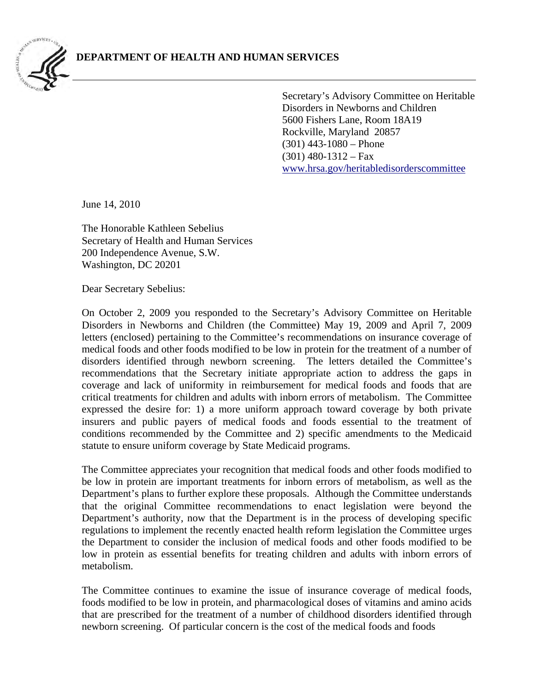

Secretary's Advisory Committee on Heritable Disorders in Newborns and Children 5600 Fishers Lane, Room 18A19 Rockville, Maryland 20857 (301) 443-1080 – Phone  $(301)$  480-1312 – Fax [www.hrsa.gov/heritabledisorderscommittee](http://www.hrsa.gov/heritabledisorderscommittee) 

June 14, 2010

The Honorable Kathleen Sebelius Secretary of Health and Human Services 200 Independence Avenue, S.W. Washington, DC 20201

Dear Secretary Sebelius:

On October 2, 2009 you responded to the Secretary's Advisory Committee on Heritable Disorders in Newborns and Children (the Committee) May 19, 2009 and April 7, 2009 letters (enclosed) pertaining to the Committee's recommendations on insurance coverage of medical foods and other foods modified to be low in protein for the treatment of a number of disorders identified through newborn screening. The letters detailed the Committee's recommendations that the Secretary initiate appropriate action to address the gaps in coverage and lack of uniformity in reimbursement for medical foods and foods that are critical treatments for children and adults with inborn errors of metabolism. The Committee expressed the desire for: 1) a more uniform approach toward coverage by both private insurers and public payers of medical foods and foods essential to the treatment of conditions recommended by the Committee and 2) specific amendments to the Medicaid statute to ensure uniform coverage by State Medicaid programs.

The Committee appreciates your recognition that medical foods and other foods modified to be low in protein are important treatments for inborn errors of metabolism, as well as the Department's plans to further explore these proposals. Although the Committee understands that the original Committee recommendations to enact legislation were beyond the Department's authority, now that the Department is in the process of developing specific regulations to implement the recently enacted health reform legislation the Committee urges the Department to consider the inclusion of medical foods and other foods modified to be low in protein as essential benefits for treating children and adults with inborn errors of metabolism.

The Committee continues to examine the issue of insurance coverage of medical foods, foods modified to be low in protein, and pharmacological doses of vitamins and amino acids that are prescribed for the treatment of a number of childhood disorders identified through newborn screening. Of particular concern is the cost of the medical foods and foods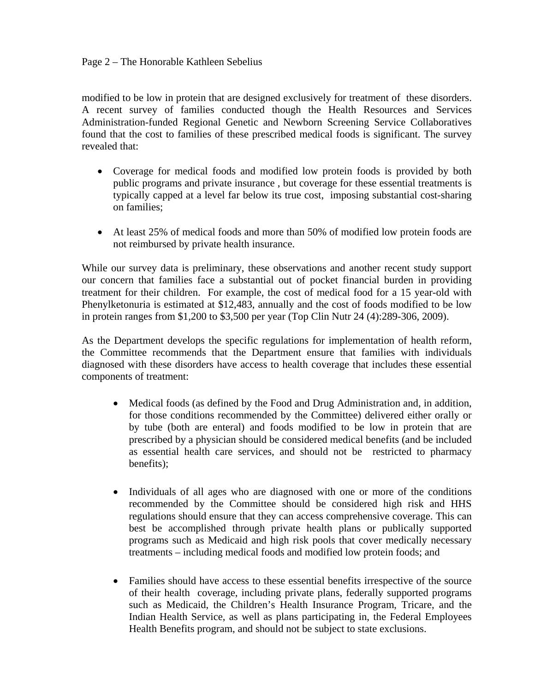## Page 2 – The Honorable Kathleen Sebelius

modified to be low in protein that are designed exclusively for treatment of these disorders. A recent survey of families conducted though the Health Resources and Services Administration-funded Regional Genetic and Newborn Screening Service Collaboratives found that the cost to families of these prescribed medical foods is significant. The survey revealed that:

- Coverage for medical foods and modified low protein foods is provided by both public programs and private insurance , but coverage for these essential treatments is typically capped at a level far below its true cost, imposing substantial cost-sharing on families;
- At least 25% of medical foods and more than 50% of modified low protein foods are not reimbursed by private health insurance.

While our survey data is preliminary, these observations and another recent study support our concern that families face a substantial out of pocket financial burden in providing treatment for their children. For example, the cost of medical food for a 15 year-old with Phenylketonuria is estimated at \$12,483, annually and the cost of foods modified to be low in protein ranges from \$1,200 to \$3,500 per year (Top Clin Nutr 24 (4):289-306, 2009).

As the Department develops the specific regulations for implementation of health reform, the Committee recommends that the Department ensure that families with individuals diagnosed with these disorders have access to health coverage that includes these essential components of treatment:

- Medical foods (as defined by the Food and Drug Administration and, in addition, for those conditions recommended by the Committee) delivered either orally or by tube (both are enteral) and foods modified to be low in protein that are prescribed by a physician should be considered medical benefits (and be included as essential health care services, and should not be restricted to pharmacy benefits);
- Individuals of all ages who are diagnosed with one or more of the conditions recommended by the Committee should be considered high risk and HHS regulations should ensure that they can access comprehensive coverage. This can best be accomplished through private health plans or publically supported programs such as Medicaid and high risk pools that cover medically necessary treatments – including medical foods and modified low protein foods; and
- Families should have access to these essential benefits irrespective of the source of their health coverage, including private plans, federally supported programs such as Medicaid, the Children's Health Insurance Program, Tricare, and the Indian Health Service, as well as plans participating in, the Federal Employees Health Benefits program, and should not be subject to state exclusions.